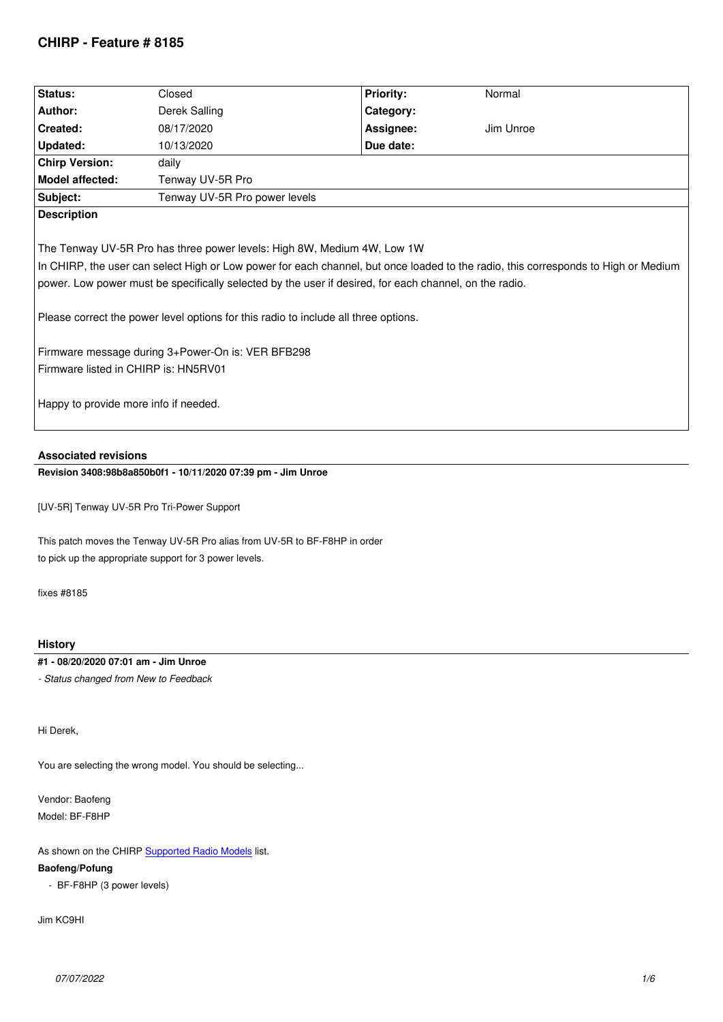| Status:                                                                                                                                                                                                                                                                                                                                                                                                                                                                                                                                              | Closed                        | <b>Priority:</b> | Normal    |  |  |
|------------------------------------------------------------------------------------------------------------------------------------------------------------------------------------------------------------------------------------------------------------------------------------------------------------------------------------------------------------------------------------------------------------------------------------------------------------------------------------------------------------------------------------------------------|-------------------------------|------------------|-----------|--|--|
| Author:                                                                                                                                                                                                                                                                                                                                                                                                                                                                                                                                              | Derek Salling                 | Category:        |           |  |  |
| Created:                                                                                                                                                                                                                                                                                                                                                                                                                                                                                                                                             | 08/17/2020                    | Assignee:        | Jim Unroe |  |  |
| <b>Updated:</b>                                                                                                                                                                                                                                                                                                                                                                                                                                                                                                                                      | 10/13/2020                    | Due date:        |           |  |  |
| <b>Chirp Version:</b>                                                                                                                                                                                                                                                                                                                                                                                                                                                                                                                                | daily                         |                  |           |  |  |
| <b>Model affected:</b>                                                                                                                                                                                                                                                                                                                                                                                                                                                                                                                               | Tenway UV-5R Pro              |                  |           |  |  |
| Subject:                                                                                                                                                                                                                                                                                                                                                                                                                                                                                                                                             | Tenway UV-5R Pro power levels |                  |           |  |  |
| <b>Description</b>                                                                                                                                                                                                                                                                                                                                                                                                                                                                                                                                   |                               |                  |           |  |  |
| The Tenway UV-5R Pro has three power levels: High 8W, Medium 4W, Low 1W<br>In CHIRP, the user can select High or Low power for each channel, but once loaded to the radio, this corresponds to High or Medium<br>power. Low power must be specifically selected by the user if desired, for each channel, on the radio.<br>Please correct the power level options for this radio to include all three options.<br>Firmware message during 3+Power-On is: VER BFB298<br>Firmware listed in CHIRP is: HN5RV01<br>Happy to provide more info if needed. |                               |                  |           |  |  |

# **Associated revisions**

**Revision 3408:98b8a850b0f1 - 10/11/2020 07:39 pm - Jim Unroe** 

*[UV-5R] Tenway UV-5R Pro Tri-Power Support*

*This patch moves the Tenway UV-5R Pro alias from UV-5R to BF-F8HP in order to pick up the appropriate support for 3 power levels.*

*fixes #8185*

## **History**

# **#1 - 08/20/2020 07:01 am - Jim Unroe**

*- Status changed from New to Feedback*

*Hi Derek,*

*You are selecting the wrong model. You should be selecting...*

*Vendor: Baofeng Model: BF-F8HP*

*As shown on the CHIRP Supported Radio Models list.*

# **Baofeng/Pofung**

 *- BF-F8HP (3 power levels)*

*Jim KC9HI*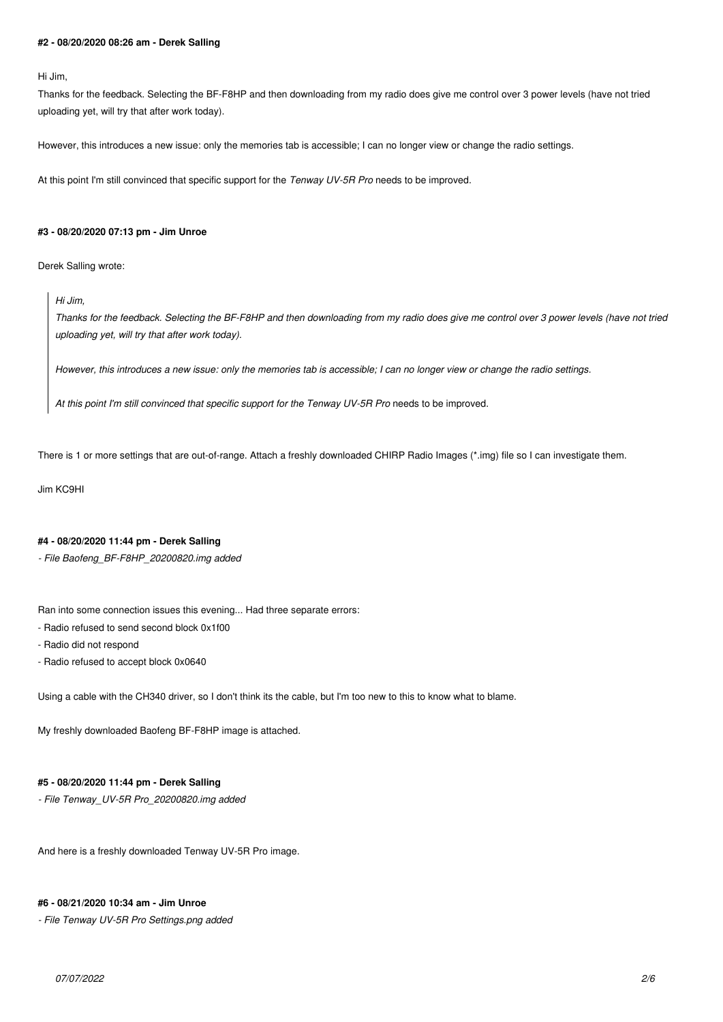#### **#2 - 08/20/2020 08:26 am - Derek Salling**

#### *Hi Jim,*

*Thanks for the feedback. Selecting the BF-F8HP and then downloading from my radio does give me control over 3 power levels (have not tried uploading yet, will try that after work today).*

*However, this introduces a new issue: only the memories tab is accessible; I can no longer view or change the radio settings.*

At this point I'm still convinced that specific support for the *Tenway UV-5R Pro* needs to be improved.

#### **#3 - 08/20/2020 07:13 pm - Jim Unroe**

*Derek Salling wrote:*

*Hi Jim,*

*Thanks for the feedback. Selecting the BF-F8HP and then downloading from my radio does give me control over 3 power levels (have not tried uploading yet, will try that after work today).*

*However, this introduces a new issue: only the memories tab is accessible; I can no longer view or change the radio settings.*

*At this point I'm still convinced that specific support for the Tenway UV-5R Pro needs to be improved.*

*There is 1 or more settings that are out-of-range. Attach a freshly downloaded CHIRP Radio Images (\*.img) file so I can investigate them.*

*Jim KC9HI*

### **#4 - 08/20/2020 11:44 pm - Derek Salling**

*- File Baofeng\_BF-F8HP\_20200820.img added*

*Ran into some connection issues this evening... Had three separate errors:*

*- Radio refused to send second block 0x1f00*

- *Radio did not respond*
- *Radio refused to accept block 0x0640*

*Using a cable with the CH340 driver, so I don't think its the cable, but I'm too new to this to know what to blame.*

*My freshly downloaded Baofeng BF-F8HP image is attached.*

### **#5 - 08/20/2020 11:44 pm - Derek Salling**

*- File Tenway\_UV-5R Pro\_20200820.img added*

*And here is a freshly downloaded Tenway UV-5R Pro image.*

#### **#6 - 08/21/2020 10:34 am - Jim Unroe**

*- File Tenway UV-5R Pro Settings.png added*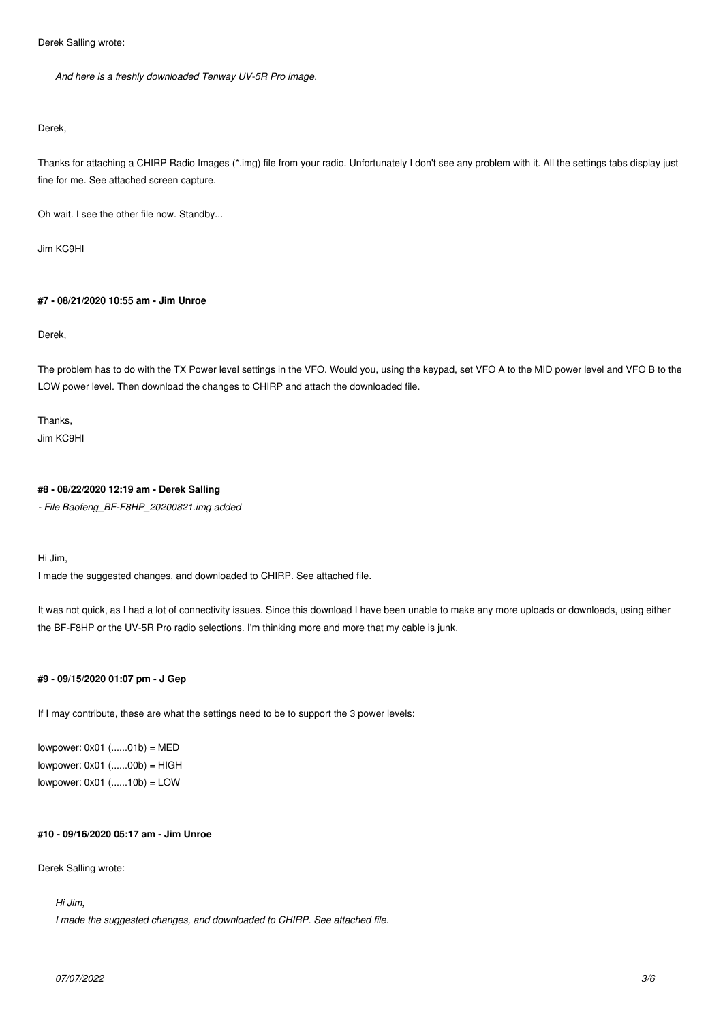*Derek Salling wrote:*

*And here is a freshly downloaded Tenway UV-5R Pro image.*

### *Derek,*

*Thanks for attaching a CHIRP Radio Images (\*.img) file from your radio. Unfortunately I don't see any problem with it. All the settings tabs display just fine for me. See attached screen capture.*

*Oh wait. I see the other file now. Standby...*

*Jim KC9HI*

# **#7 - 08/21/2020 10:55 am - Jim Unroe**

*Derek,*

*The problem has to do with the TX Power level settings in the VFO. Would you, using the keypad, set VFO A to the MID power level and VFO B to the LOW power level. Then download the changes to CHIRP and attach the downloaded file.*

*Thanks, Jim KC9HI*

## **#8 - 08/22/2020 12:19 am - Derek Salling**

*- File Baofeng\_BF-F8HP\_20200821.img added*

*Hi Jim,*

*I made the suggested changes, and downloaded to CHIRP. See attached file.*

*It was not quick, as I had a lot of connectivity issues. Since this download I have been unable to make any more uploads or downloads, using either the BF-F8HP or the UV-5R Pro radio selections. I'm thinking more and more that my cable is junk.*

### **#9 - 09/15/2020 01:07 pm - J Gep**

*If I may contribute, these are what the settings need to be to support the 3 power levels:*

*lowpower: 0x01 (......01b) = MED lowpower: 0x01 (......00b) = HIGH lowpower: 0x01 (......10b) = LOW*

### **#10 - 09/16/2020 05:17 am - Jim Unroe**

*Derek Salling wrote:*

*Hi Jim,*

*I made the suggested changes, and downloaded to CHIRP. See attached file.*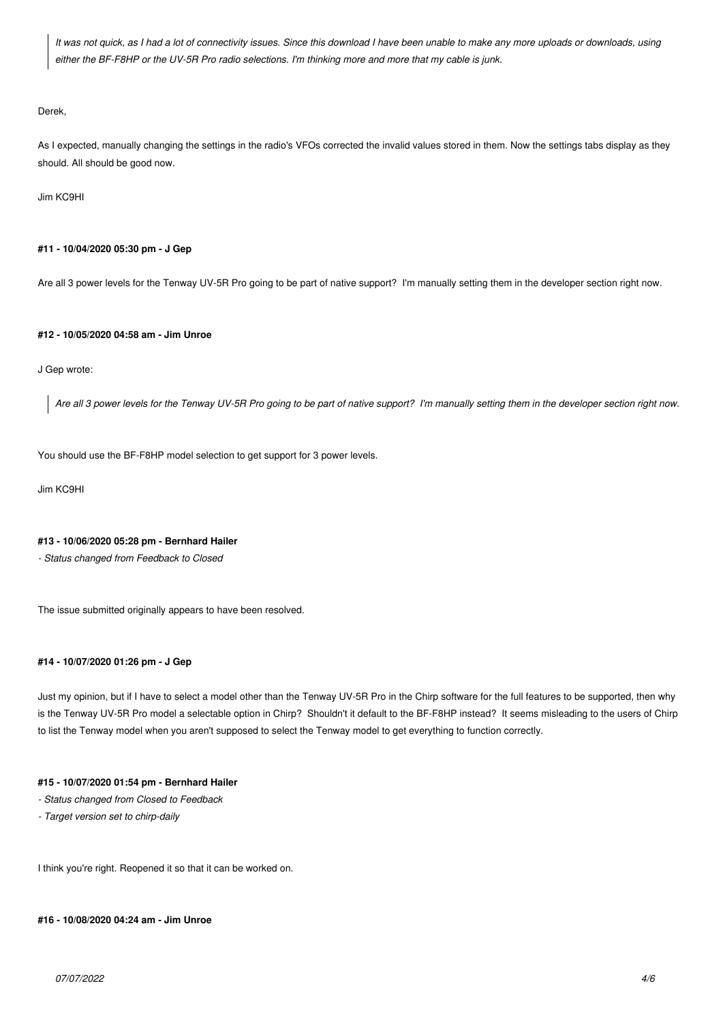*It was not quick, as I had a lot of connectivity issues. Since this download I have been unable to make any more uploads or downloads, using either the BF-F8HP or the UV-5R Pro radio selections. I'm thinking more and more that my cable is junk.*

#### *Derek,*

*As I expected, manually changing the settings in the radio's VFOs corrected the invalid values stored in them. Now the settings tabs display as they should. All should be good now.*

*Jim KC9HI*

### **#11 - 10/04/2020 05:30 pm - J Gep**

*Are all 3 power levels for the Tenway UV-5R Pro going to be part of native support? I'm manually setting them in the developer section right now.*

#### **#12 - 10/05/2020 04:58 am - Jim Unroe**

### *J Gep wrote:*

*Are all 3 power levels for the Tenway UV-5R Pro going to be part of native support? I'm manually setting them in the developer section right now.*

*You should use the BF-F8HP model selection to get support for 3 power levels.*

### *Jim KC9HI*

### **#13 - 10/06/2020 05:28 pm - Bernhard Hailer**

*- Status changed from Feedback to Closed*

*The issue submitted originally appears to have been resolved.*

### **#14 - 10/07/2020 01:26 pm - J Gep**

*Just my opinion, but if I have to select a model other than the Tenway UV-5R Pro in the Chirp software for the full features to be supported, then why is the Tenway UV-5R Pro model a selectable option in Chirp? Shouldn't it default to the BF-F8HP instead? It seems misleading to the users of Chirp to list the Tenway model when you aren't supposed to select the Tenway model to get everything to function correctly.*

### **#15 - 10/07/2020 01:54 pm - Bernhard Hailer**

- *Status changed from Closed to Feedback*
- *Target version set to chirp-daily*

*I think you're right. Reopened it so that it can be worked on.*

**#16 - 10/08/2020 04:24 am - Jim Unroe**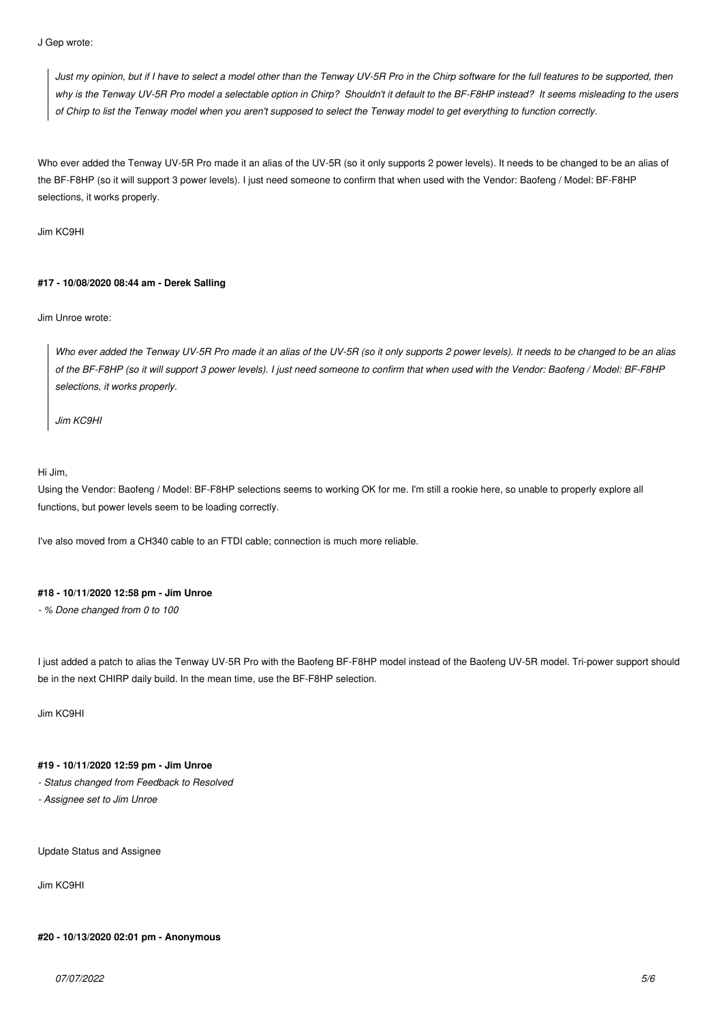*J Gep wrote:*

*Just my opinion, but if I have to select a model other than the Tenway UV-5R Pro in the Chirp software for the full features to be supported, then why is the Tenway UV-5R Pro model a selectable option in Chirp? Shouldn't it default to the BF-F8HP instead? It seems misleading to the users of Chirp to list the Tenway model when you aren't supposed to select the Tenway model to get everything to function correctly.*

*Who ever added the Tenway UV-5R Pro made it an alias of the UV-5R (so it only supports 2 power levels). It needs to be changed to be an alias of the BF-F8HP (so it will support 3 power levels). I just need someone to confirm that when used with the Vendor: Baofeng / Model: BF-F8HP selections, it works properly.*

*Jim KC9HI*

## **#17 - 10/08/2020 08:44 am - Derek Salling**

*Jim Unroe wrote:*

*Who ever added the Tenway UV-5R Pro made it an alias of the UV-5R (so it only supports 2 power levels). It needs to be changed to be an alias of the BF-F8HP (so it will support 3 power levels). I just need someone to confirm that when used with the Vendor: Baofeng / Model: BF-F8HP selections, it works properly.*

*Jim KC9HI*

### *Hi Jim,*

*Using the Vendor: Baofeng / Model: BF-F8HP selections seems to working OK for me. I'm still a rookie here, so unable to properly explore all functions, but power levels seem to be loading correctly.*

*I've also moved from a CH340 cable to an FTDI cable; connection is much more reliable.*

### **#18 - 10/11/2020 12:58 pm - Jim Unroe**

*- % Done changed from 0 to 100*

*I just added a patch to alias the Tenway UV-5R Pro with the Baofeng BF-F8HP model instead of the Baofeng UV-5R model. Tri-power support should be in the next CHIRP daily build. In the mean time, use the BF-F8HP selection.*

*Jim KC9HI*

# **#19 - 10/11/2020 12:59 pm - Jim Unroe**

*- Status changed from Feedback to Resolved*

*- Assignee set to Jim Unroe*

*Update Status and Assignee*

*Jim KC9HI*

# **#20 - 10/13/2020 02:01 pm - Anonymous**